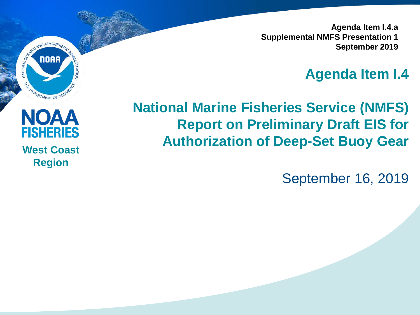**Agenda Item I.4.a Supplemental NMFS Presentation 1 September 2019**

#### **Agenda Item I.4**

#### **National Marine Fisheries Service (NMFS) Report on Preliminary Draft EIS for Authorization of Deep-Set Buoy Gear**

September 16, 2019



SENIO AND ATMOSPHERIC

NATIONAL

**S** 

**NORA**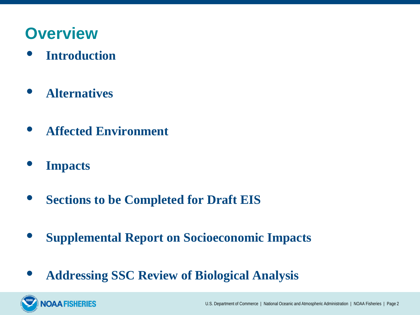### **Overview**

- **Introduction**
- **Alternatives**
- **Affected Environment**
- **Impacts**

**OAA FISHERIES** 

- **Sections to be Completed for Draft EIS**
- **Supplemental Report on Socioeconomic Impacts**
- **Addressing SSC Review of Biological Analysis**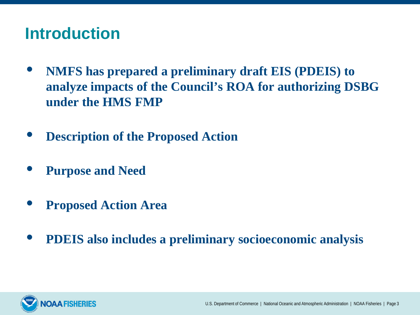## **Introduction**

- **NMFS has prepared a preliminary draft EIS (PDEIS) to analyze impacts of the Council's ROA for authorizing DSBG under the HMS FMP**
- **Description of the Proposed Action**
- **Purpose and Need**
- **Proposed Action Area**
- **PDEIS also includes a preliminary socioeconomic analysis**

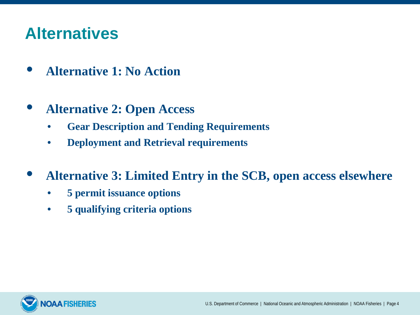## **Alternatives**

- **Alternative 1: No Action**
- **Alternative 2: Open Access**
	- **Gear Description and Tending Requirements**
	- **Deployment and Retrieval requirements**
- **Alternative 3: Limited Entry in the SCB, open access elsewhere**
	- **5 permit issuance options**
	- **5 qualifying criteria options**

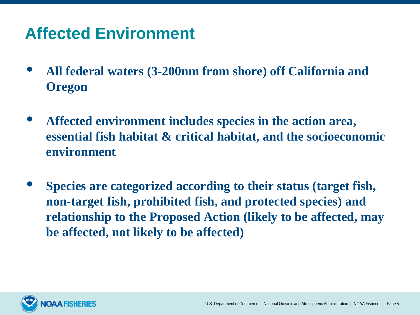# **Affected Environment**

- **All federal waters (3-200nm from shore) off California and Oregon**
- **Affected environment includes species in the action area, essential fish habitat & critical habitat, and the socioeconomic environment**
- **Species are categorized according to their status (target fish, non-target fish, prohibited fish, and protected species) and relationship to the Proposed Action (likely to be affected, may be affected, not likely to be affected)**

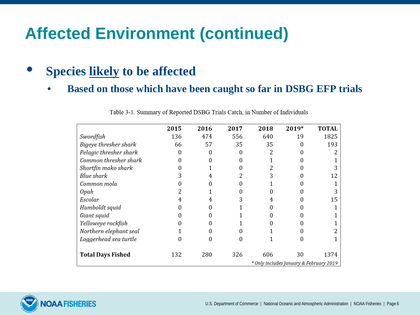#### • **Species likely to be affected**

• **Based on those which have been caught so far in DSBG EFP trials**

|                          | 2015 | 2016 | 2017 | 2018 | 2019*                                         | <b>TOTAL</b> |
|--------------------------|------|------|------|------|-----------------------------------------------|--------------|
| Swordfish                | 136  | 474  | 556  | 640  | 19                                            | 1825         |
| Bigeye thresher shark    | 66   | 57   | 35   | 35   | $\Omega$                                      | 193          |
| Pelagic thresher shark   | 0    |      | 0    | 2    |                                               |              |
| Common thresher shark    |      |      |      |      |                                               |              |
| Shortfin mako shark      |      |      |      |      |                                               |              |
| Blue shark               |      |      |      |      |                                               | 12           |
| Common mola              |      |      |      |      |                                               |              |
| 0pah                     |      |      |      |      |                                               |              |
| Escolar                  | 4    |      |      | 4    |                                               | 15           |
| Humboldt squid           |      |      |      |      |                                               |              |
| Giant squid              |      |      |      |      |                                               |              |
| Yelloweye rockfish       |      |      |      |      | 0                                             |              |
| Northern elephant seal   |      |      |      |      |                                               |              |
| Loggerhead sea turtle    |      | 0    | Ω    |      |                                               |              |
| <b>Total Days Fished</b> | 132  | 280  | 326  | 606  | 30<br>* Only includes January & February 2019 | 1374         |

Table 3-1. Summary of Reported DSBG Trials Catch, in Number of Individuals

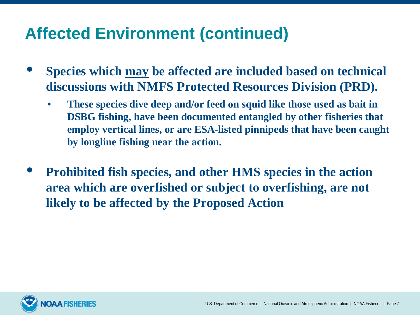- **Species which may be affected are included based on technical discussions with NMFS Protected Resources Division (PRD).**
	- **These species dive deep and/or feed on squid like those used as bait in DSBG fishing, have been documented entangled by other fisheries that employ vertical lines, or are ESA-listed pinnipeds that have been caught by longline fishing near the action.**
- **Prohibited fish species, and other HMS species in the action area which are overfished or subject to overfishing, are not likely to be affected by the Proposed Action**

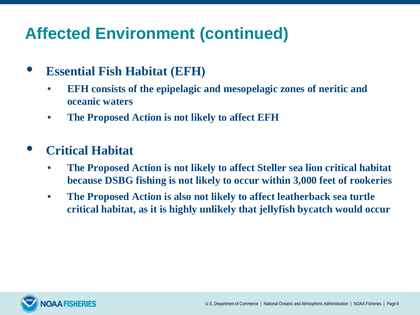- **Essential Fish Habitat (EFH)**
	- **EFH consists of the epipelagic and mesopelagic zones of neritic and oceanic waters**
	- **The Proposed Action is not likely to affect EFH**
- **Critical Habitat**
	- **The Proposed Action is not likely to affect Steller sea lion critical habitat because DSBG fishing is not likely to occur within 3,000 feet of rookeries**
	- **The Proposed Action is also not likely to affect leatherback sea turtle critical habitat, as it is highly unlikely that jellyfish bycatch would occur**

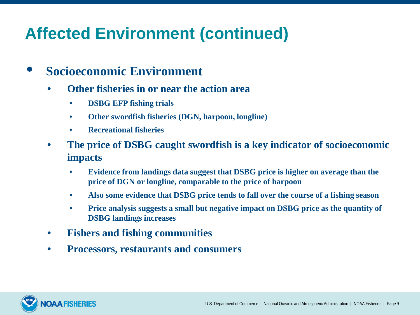- **Socioeconomic Environment**
	- **Other fisheries in or near the action area**
		- **DSBG EFP fishing trials**
		- **Other swordfish fisheries (DGN, harpoon, longline)**
		- **Recreational fisheries**
	- **The price of DSBG caught swordfish is a key indicator of socioeconomic impacts**
		- **Evidence from landings data suggest that DSBG price is higher on average than the price of DGN or longline, comparable to the price of harpoon**
		- **Also some evidence that DSBG price tends to fall over the course of a fishing season**
		- **Price analysis suggests a small but negative impact on DSBG price as the quantity of DSBG landings increases**
	- **Fishers and fishing communities**
	- **Processors, restaurants and consumers**

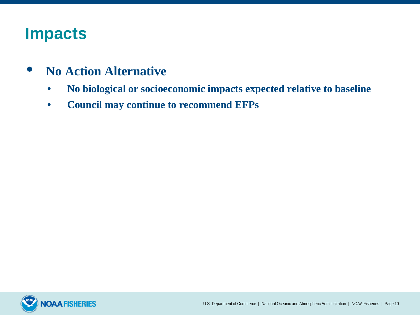### **Impacts**

- **No Action Alternative**
	- **No biological or socioeconomic impacts expected relative to baseline**
	- **Council may continue to recommend EFPs**

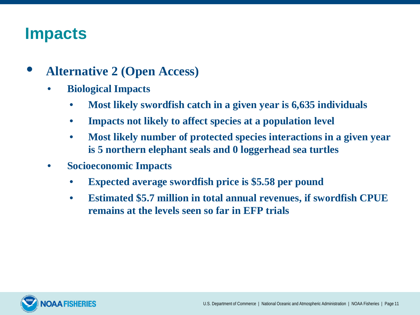## **Impacts**

- **Alternative 2 (Open Access)**
	- **Biological Impacts**
		- **Most likely swordfish catch in a given year is 6,635 individuals**
		- **Impacts not likely to affect species at a population level**
		- **Most likely number of protected species interactions in a given year is 5 northern elephant seals and 0 loggerhead sea turtles**
	- **Socioeconomic Impacts**
		- **Expected average swordfish price is \$5.58 per pound**
		- **Estimated \$5.7 million in total annual revenues, if swordfish CPUE remains at the levels seen so far in EFP trials**

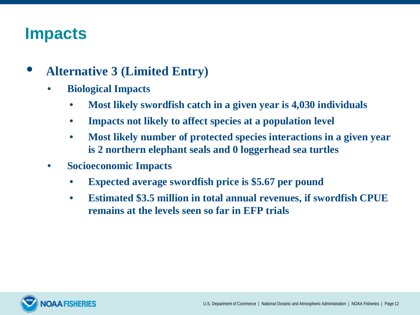## **Impacts**

- **Alternative 3 (Limited Entry)**
	- **Biological Impacts**
		- **Most likely swordfish catch in a given year is 4,030 individuals**
		- **Impacts not likely to affect species at a population level**
		- **Most likely number of protected species interactions in a given year is 2 northern elephant seals and 0 loggerhead sea turtles**
	- **Socioeconomic Impacts**
		- **Expected average swordfish price is \$5.67 per pound**
		- **Estimated \$3.5 million in total annual revenues, if swordfish CPUE remains at the levels seen so far in EFP trials**

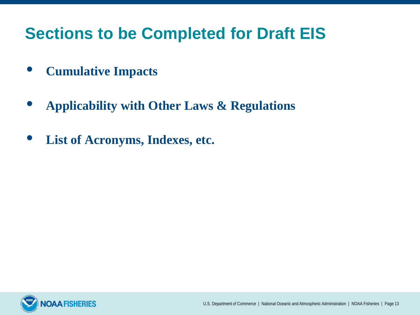# **Sections to be Completed for Draft EIS**

- **Cumulative Impacts**
- **Applicability with Other Laws & Regulations**
- **List of Acronyms, Indexes, etc.**

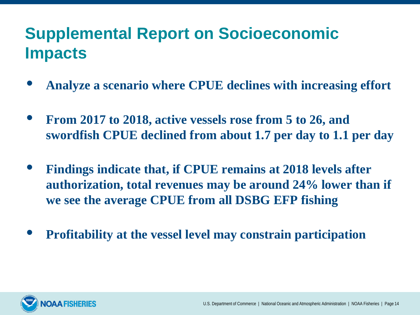# **Supplemental Report on Socioeconomic Impacts**

- **Analyze a scenario where CPUE declines with increasing effort**
- **From 2017 to 2018, active vessels rose from 5 to 26, and swordfish CPUE declined from about 1.7 per day to 1.1 per day**
- **Findings indicate that, if CPUE remains at 2018 levels after authorization, total revenues may be around 24% lower than if we see the average CPUE from all DSBG EFP fishing**
- **Profitability at the vessel level may constrain participation**